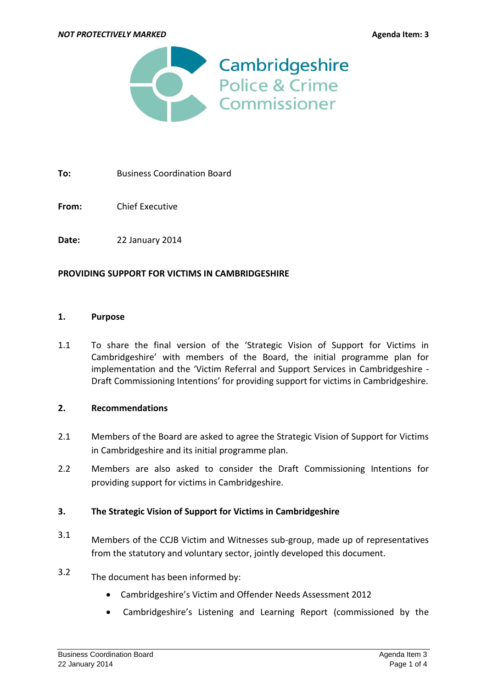

**To:** Business Coordination Board

**From:** Chief Executive

**Date:** 22 January 2014

### **PROVIDING SUPPORT FOR VICTIMS IN CAMBRIDGESHIRE**

### **1. Purpose**

1.1 To share the final version of the 'Strategic Vision of Support for Victims in Cambridgeshire' with members of the Board, the initial programme plan for implementation and the 'Victim Referral and Support Services in Cambridgeshire - Draft Commissioning Intentions' for providing support for victims in Cambridgeshire.

### **2. Recommendations**

- 2.1 Members of the Board are asked to agree the Strategic Vision of Support for Victims in Cambridgeshire and its initial programme plan.
- 2.2 Members are also asked to consider the Draft Commissioning Intentions for providing support for victims in Cambridgeshire.

### **3. The Strategic Vision of Support for Victims in Cambridgeshire**

- 3.1 Members of the CCJB Victim and Witnesses sub-group, made up of representatives from the statutory and voluntary sector, jointly developed this document.
- 3.2 The document has been informed by:
	- Cambridgeshire's Victim and Offender Needs Assessment 2012
	- Cambridgeshire's Listening and Learning Report (commissioned by the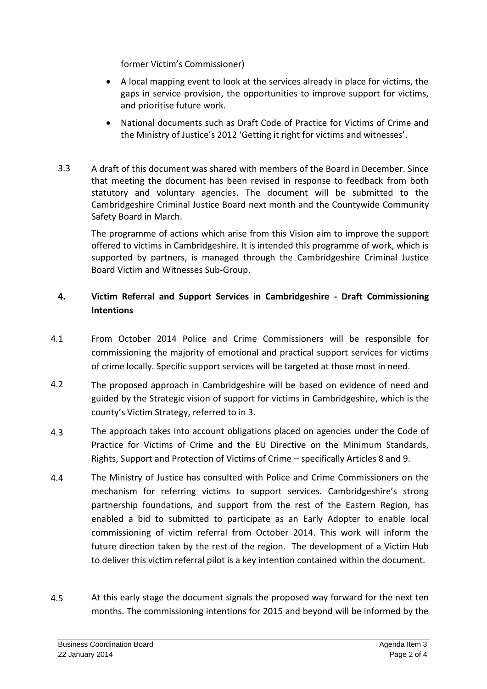former Victim's Commissioner)

- A local mapping event to look at the services already in place for victims, the gaps in service provision, the opportunities to improve support for victims, and prioritise future work.
- National documents such as Draft Code of Practice for Victims of Crime and the Ministry of Justice's 2012 'Getting it right for victims and witnesses'.
- 3.3 A draft of this document was shared with members of the Board in December. Since that meeting the document has been revised in response to feedback from both statutory and voluntary agencies. The document will be submitted to the Cambridgeshire Criminal Justice Board next month and the Countywide Community Safety Board in March.

The programme of actions which arise from this Vision aim to improve the support offered to victims in Cambridgeshire. It is intended this programme of work, which is supported by partners, is managed through the Cambridgeshire Criminal Justice Board Victim and Witnesses Sub-Group.

# **4. Victim Referral and Support Services in Cambridgeshire - Draft Commissioning Intentions**

- 4.1 From October 2014 Police and Crime Commissioners will be responsible for commissioning the majority of emotional and practical support services for victims of crime locally. Specific support services will be targeted at those most in need.
- 4.2 The proposed approach in Cambridgeshire will be based on evidence of need and guided by the Strategic vision of support for victims in Cambridgeshire, which is the county's Victim Strategy, referred to in 3.
- 4.3 The approach takes into account obligations placed on agencies under the Code of Practice for Victims of Crime and the EU Directive on the Minimum Standards, Rights, Support and Protection of Victims of Crime – specifically Articles 8 and 9.
- 4.4 The Ministry of Justice has consulted with Police and Crime Commissioners on the mechanism for referring victims to support services. Cambridgeshire's strong partnership foundations, and support from the rest of the Eastern Region, has enabled a bid to submitted to participate as an Early Adopter to enable local commissioning of victim referral from October 2014. This work will inform the future direction taken by the rest of the region. The development of a Victim Hub to deliver this victim referral pilot is a key intention contained within the document.
- 4.5 At this early stage the document signals the proposed way forward for the next ten months. The commissioning intentions for 2015 and beyond will be informed by the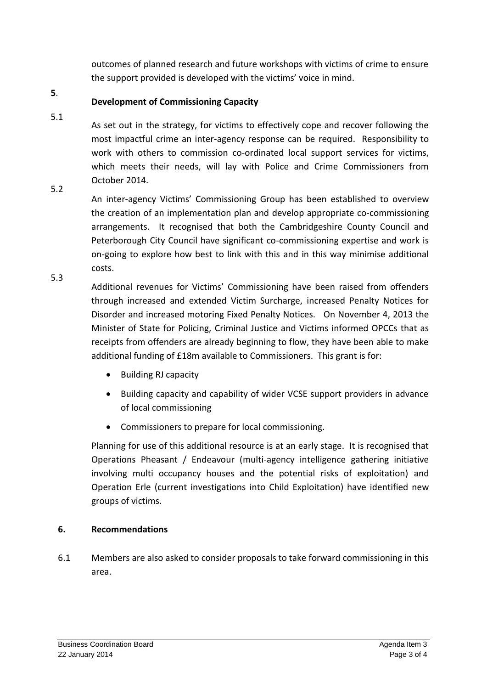outcomes of planned research and future workshops with victims of crime to ensure the support provided is developed with the victims' voice in mind.

#### **5**. **Development of Commissioning Capacity**

As set out in the strategy, for victims to effectively cope and recover following the most impactful crime an inter-agency response can be required. Responsibility to work with others to commission co-ordinated local support services for victims, which meets their needs, will lay with Police and Crime Commissioners from October 2014.

5.2

5.1

An inter-agency Victims' Commissioning Group has been established to overview the creation of an implementation plan and develop appropriate co-commissioning arrangements. It recognised that both the Cambridgeshire County Council and Peterborough City Council have significant co-commissioning expertise and work is on-going to explore how best to link with this and in this way minimise additional costs.

5.3 Additional revenues for Victims' Commissioning have been raised from offenders through increased and extended Victim Surcharge, increased Penalty Notices for Disorder and increased motoring Fixed Penalty Notices. On November 4, 2013 the Minister of State for Policing, Criminal Justice and Victims informed OPCCs that as receipts from offenders are already beginning to flow, they have been able to make additional funding of £18m available to Commissioners. This grant is for:

- Building RJ capacity
- Building capacity and capability of wider VCSE support providers in advance of local commissioning
- Commissioners to prepare for local commissioning.

Planning for use of this additional resource is at an early stage. It is recognised that Operations Pheasant / Endeavour (multi-agency intelligence gathering initiative involving multi occupancy houses and the potential risks of exploitation) and Operation Erle (current investigations into Child Exploitation) have identified new groups of victims.

## **6. Recommendations**

6.1 Members are also asked to consider proposals to take forward commissioning in this area.